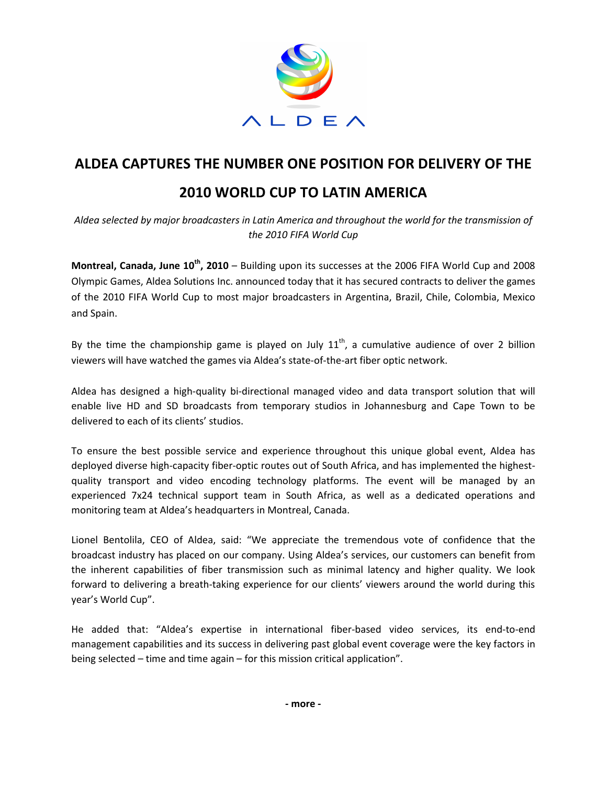

## **ALDEA CAPTURES THE NUMBER ONE POSITION FOR DELIVERY OF THE**

## **2010 WORLD CUP TO LATIN AMERICA**

*Aldea selected by major broadcasters in Latin America and throughout the world for the transmission of the 2010 FIFA World Cup* 

**Montreal, Canada, June 10th, 2010** – Building upon its successes at the 2006 FIFA World Cup and 2008 Olympic Games, Aldea Solutions Inc. announced today that it has secured contracts to deliver the games of the 2010 FIFA World Cup to most major broadcasters in Argentina, Brazil, Chile, Colombia, Mexico and Spain.

By the time the championship game is played on July  $11<sup>th</sup>$ , a cumulative audience of over 2 billion viewers will have watched the games via Aldea's state-of-the-art fiber optic network.

Aldea has designed a high-quality bi-directional managed video and data transport solution that will enable live HD and SD broadcasts from temporary studios in Johannesburg and Cape Town to be delivered to each of its clients' studios.

To ensure the best possible service and experience throughout this unique global event, Aldea has deployed diverse high-capacity fiber-optic routes out of South Africa, and has implemented the highestquality transport and video encoding technology platforms. The event will be managed by an experienced 7x24 technical support team in South Africa, as well as a dedicated operations and monitoring team at Aldea's headquarters in Montreal, Canada.

Lionel Bentolila, CEO of Aldea, said: "We appreciate the tremendous vote of confidence that the broadcast industry has placed on our company. Using Aldea's services, our customers can benefit from the inherent capabilities of fiber transmission such as minimal latency and higher quality. We look forward to delivering a breath-taking experience for our clients' viewers around the world during this year's World Cup".

He added that: "Aldea's expertise in international fiber-based video services, its end-to-end management capabilities and its success in delivering past global event coverage were the key factors in being selected – time and time again – for this mission critical application".